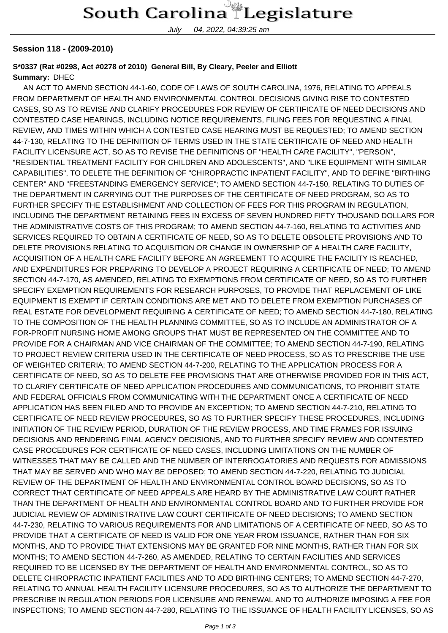July 04, 2022, 04:39:25 am

## **Session 118 - (2009-2010)**

## **S\*0337 (Rat #0298, Act #0278 of 2010) General Bill, By Cleary, Peeler and Elliott Summary:** DHEC

 AN ACT TO AMEND SECTION 44-1-60, CODE OF LAWS OF SOUTH CAROLINA, 1976, RELATING TO APPEALS FROM DEPARTMENT OF HEALTH AND ENVIRONMENTAL CONTROL DECISIONS GIVING RISE TO CONTESTED CASES, SO AS TO REVISE AND CLARIFY PROCEDURES FOR REVIEW OF CERTIFICATE OF NEED DECISIONS AND CONTESTED CASE HEARINGS, INCLUDING NOTICE REQUIREMENTS, FILING FEES FOR REQUESTING A FINAL REVIEW, AND TIMES WITHIN WHICH A CONTESTED CASE HEARING MUST BE REQUESTED; TO AMEND SECTION 44-7-130, RELATING TO THE DEFINITION OF TERMS USED IN THE STATE CERTIFICATE OF NEED AND HEALTH FACILITY LICENSURE ACT, SO AS TO REVISE THE DEFINITIONS OF "HEALTH CARE FACILITY", "PERSON", "RESIDENTIAL TREATMENT FACILITY FOR CHILDREN AND ADOLESCENTS", AND "LIKE EQUIPMENT WITH SIMILAR CAPABILITIES", TO DELETE THE DEFINITION OF "CHIROPRACTIC INPATIENT FACILITY", AND TO DEFINE "BIRTHING CENTER" AND "FREESTANDING EMERGENCY SERVICE"; TO AMEND SECTION 44-7-150, RELATING TO DUTIES OF THE DEPARTMENT IN CARRYING OUT THE PURPOSES OF THE CERTIFICATE OF NEED PROGRAM, SO AS TO FURTHER SPECIFY THE ESTABLISHMENT AND COLLECTION OF FEES FOR THIS PROGRAM IN REGULATION, INCLUDING THE DEPARTMENT RETAINING FEES IN EXCESS OF SEVEN HUNDRED FIFTY THOUSAND DOLLARS FOR THE ADMINISTRATIVE COSTS OF THIS PROGRAM; TO AMEND SECTION 44-7-160, RELATING TO ACTIVITIES AND SERVICES REQUIRED TO OBTAIN A CERTIFICATE OF NEED, SO AS TO DELETE OBSOLETE PROVISIONS AND TO DELETE PROVISIONS RELATING TO ACQUISITION OR CHANGE IN OWNERSHIP OF A HEALTH CARE FACILITY, ACQUISITION OF A HEALTH CARE FACILITY BEFORE AN AGREEMENT TO ACQUIRE THE FACILITY IS REACHED, AND EXPENDITURES FOR PREPARING TO DEVELOP A PROJECT REQUIRING A CERTIFICATE OF NEED; TO AMEND SECTION 44-7-170, AS AMENDED, RELATING TO EXEMPTIONS FROM CERTIFICATE OF NEED, SO AS TO FURTHER SPECIFY EXEMPTION REQUIREMENTS FOR RESEARCH PURPOSES, TO PROVIDE THAT REPLACEMENT OF LIKE EQUIPMENT IS EXEMPT IF CERTAIN CONDITIONS ARE MET AND TO DELETE FROM EXEMPTION PURCHASES OF REAL ESTATE FOR DEVELOPMENT REQUIRING A CERTIFICATE OF NEED; TO AMEND SECTION 44-7-180, RELATING TO THE COMPOSITION OF THE HEALTH PLANNING COMMITTEE, SO AS TO INCLUDE AN ADMINISTRATOR OF A FOR-PROFIT NURSING HOME AMONG GROUPS THAT MUST BE REPRESENTED ON THE COMMITTEE AND TO PROVIDE FOR A CHAIRMAN AND VICE CHAIRMAN OF THE COMMITTEE; TO AMEND SECTION 44-7-190, RELATING TO PROJECT REVIEW CRITERIA USED IN THE CERTIFICATE OF NEED PROCESS, SO AS TO PRESCRIBE THE USE OF WEIGHTED CRITERIA; TO AMEND SECTION 44-7-200, RELATING TO THE APPLICATION PROCESS FOR A CERTIFICATE OF NEED, SO AS TO DELETE FEE PROVISIONS THAT ARE OTHERWISE PROVIDED FOR IN THIS ACT, TO CLARIFY CERTIFICATE OF NEED APPLICATION PROCEDURES AND COMMUNICATIONS, TO PROHIBIT STATE AND FEDERAL OFFICIALS FROM COMMUNICATING WITH THE DEPARTMENT ONCE A CERTIFICATE OF NEED APPLICATION HAS BEEN FILED AND TO PROVIDE AN EXCEPTION; TO AMEND SECTION 44-7-210, RELATING TO CERTIFICATE OF NEED REVIEW PROCEDURES, SO AS TO FURTHER SPECIFY THESE PROCEDURES, INCLUDING INITIATION OF THE REVIEW PERIOD, DURATION OF THE REVIEW PROCESS, AND TIME FRAMES FOR ISSUING DECISIONS AND RENDERING FINAL AGENCY DECISIONS, AND TO FURTHER SPECIFY REVIEW AND CONTESTED CASE PROCEDURES FOR CERTIFICATE OF NEED CASES, INCLUDING LIMITATIONS ON THE NUMBER OF WITNESSES THAT MAY BE CALLED AND THE NUMBER OF INTERROGATORIES AND REQUESTS FOR ADMISSIONS THAT MAY BE SERVED AND WHO MAY BE DEPOSED; TO AMEND SECTION 44-7-220, RELATING TO JUDICIAL REVIEW OF THE DEPARTMENT OF HEALTH AND ENVIRONMENTAL CONTROL BOARD DECISIONS, SO AS TO CORRECT THAT CERTIFICATE OF NEED APPEALS ARE HEARD BY THE ADMINISTRATIVE LAW COURT RATHER THAN THE DEPARTMENT OF HEALTH AND ENVIRONMENTAL CONTROL BOARD AND TO FURTHER PROVIDE FOR JUDICIAL REVIEW OF ADMINISTRATIVE LAW COURT CERTIFICATE OF NEED DECISIONS; TO AMEND SECTION 44-7-230, RELATING TO VARIOUS REQUIREMENTS FOR AND LIMITATIONS OF A CERTIFICATE OF NEED, SO AS TO PROVIDE THAT A CERTIFICATE OF NEED IS VALID FOR ONE YEAR FROM ISSUANCE, RATHER THAN FOR SIX MONTHS, AND TO PROVIDE THAT EXTENSIONS MAY BE GRANTED FOR NINE MONTHS, RATHER THAN FOR SIX MONTHS; TO AMEND SECTION 44-7-260, AS AMENDED, RELATING TO CERTAIN FACILITIES AND SERVICES REQUIRED TO BE LICENSED BY THE DEPARTMENT OF HEALTH AND ENVIRONMENTAL CONTROL, SO AS TO DELETE CHIROPRACTIC INPATIENT FACILITIES AND TO ADD BIRTHING CENTERS; TO AMEND SECTION 44-7-270, RELATING TO ANNUAL HEALTH FACILITY LICENSURE PROCEDURES, SO AS TO AUTHORIZE THE DEPARTMENT TO PRESCRIBE IN REGULATION PERIODS FOR LICENSURE AND RENEWAL AND TO AUTHORIZE IMPOSING A FEE FOR INSPECTIONS; TO AMEND SECTION 44-7-280, RELATING TO THE ISSUANCE OF HEALTH FACILITY LICENSES, SO AS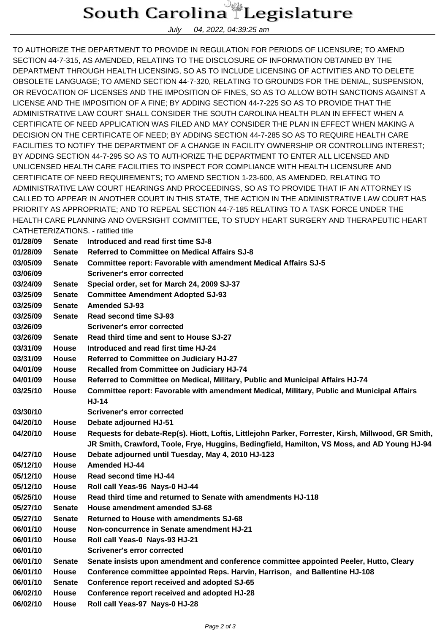## South Carolina Legislature

July 04, 2022, 04:39:25 am

TO AUTHORIZE THE DEPARTMENT TO PROVIDE IN REGULATION FOR PERIODS OF LICENSURE; TO AMEND SECTION 44-7-315, AS AMENDED, RELATING TO THE DISCLOSURE OF INFORMATION OBTAINED BY THE DEPARTMENT THROUGH HEALTH LICENSING, SO AS TO INCLUDE LICENSING OF ACTIVITIES AND TO DELETE OBSOLETE LANGUAGE; TO AMEND SECTION 44-7-320, RELATING TO GROUNDS FOR THE DENIAL, SUSPENSION, OR REVOCATION OF LICENSES AND THE IMPOSITION OF FINES, SO AS TO ALLOW BOTH SANCTIONS AGAINST A LICENSE AND THE IMPOSITION OF A FINE; BY ADDING SECTION 44-7-225 SO AS TO PROVIDE THAT THE ADMINISTRATIVE LAW COURT SHALL CONSIDER THE SOUTH CAROLINA HEALTH PLAN IN EFFECT WHEN A CERTIFICATE OF NEED APPLICATION WAS FILED AND MAY CONSIDER THE PLAN IN EFFECT WHEN MAKING A DECISION ON THE CERTIFICATE OF NEED; BY ADDING SECTION 44-7-285 SO AS TO REQUIRE HEALTH CARE FACILITIES TO NOTIFY THE DEPARTMENT OF A CHANGE IN FACILITY OWNERSHIP OR CONTROLLING INTEREST; BY ADDING SECTION 44-7-295 SO AS TO AUTHORIZE THE DEPARTMENT TO ENTER ALL LICENSED AND UNLICENSED HEALTH CARE FACILITIES TO INSPECT FOR COMPLIANCE WITH HEALTH LICENSURE AND CERTIFICATE OF NEED REQUIREMENTS; TO AMEND SECTION 1-23-600, AS AMENDED, RELATING TO ADMINISTRATIVE LAW COURT HEARINGS AND PROCEEDINGS, SO AS TO PROVIDE THAT IF AN ATTORNEY IS CALLED TO APPEAR IN ANOTHER COURT IN THIS STATE, THE ACTION IN THE ADMINISTRATIVE LAW COURT HAS PRIORITY AS APPROPRIATE; AND TO REPEAL SECTION 44-7-185 RELATING TO A TASK FORCE UNDER THE HEALTH CARE PLANNING AND OVERSIGHT COMMITTEE, TO STUDY HEART SURGERY AND THERAPEUTIC HEART CATHETERIZATIONS. - ratified title

| 01/28/09 | Senate        | Introduced and read first time SJ-8                                                                 |  |  |
|----------|---------------|-----------------------------------------------------------------------------------------------------|--|--|
| 01/28/09 | Senate        | <b>Referred to Committee on Medical Affairs SJ-8</b>                                                |  |  |
| 03/05/09 | Senate        | <b>Committee report: Favorable with amendment Medical Affairs SJ-5</b>                              |  |  |
| 03/06/09 |               | <b>Scrivener's error corrected</b>                                                                  |  |  |
| 03/24/09 | <b>Senate</b> | Special order, set for March 24, 2009 SJ-37                                                         |  |  |
| 03/25/09 | <b>Senate</b> | <b>Committee Amendment Adopted SJ-93</b>                                                            |  |  |
| 03/25/09 | <b>Senate</b> | <b>Amended SJ-93</b>                                                                                |  |  |
| 03/25/09 | <b>Senate</b> | Read second time SJ-93                                                                              |  |  |
| 03/26/09 |               | <b>Scrivener's error corrected</b>                                                                  |  |  |
| 03/26/09 | Senate        | Read third time and sent to House SJ-27                                                             |  |  |
| 03/31/09 | <b>House</b>  | Introduced and read first time HJ-24                                                                |  |  |
| 03/31/09 | <b>House</b>  | Referred to Committee on Judiciary HJ-27                                                            |  |  |
| 04/01/09 | House         | <b>Recalled from Committee on Judiciary HJ-74</b>                                                   |  |  |
| 04/01/09 | House         | Referred to Committee on Medical, Military, Public and Municipal Affairs HJ-74                      |  |  |
| 03/25/10 | House         | Committee report: Favorable with amendment Medical, Military, Public and Municipal Affairs          |  |  |
|          |               | <b>HJ-14</b>                                                                                        |  |  |
| 03/30/10 |               | <b>Scrivener's error corrected</b>                                                                  |  |  |
| 04/20/10 | House         | Debate adjourned HJ-51                                                                              |  |  |
| 04/20/10 | House         | Requests for debate-Rep(s). Hiott, Loftis, Littlejohn Parker, Forrester, Kirsh, Millwood, GR Smith, |  |  |
|          |               | JR Smith, Crawford, Toole, Frye, Huggins, Bedingfield, Hamilton, VS Moss, and AD Young HJ-94        |  |  |
| 04/27/10 | <b>House</b>  | Debate adjourned until Tuesday, May 4, 2010 HJ-123                                                  |  |  |
| 05/12/10 | House         | <b>Amended HJ-44</b>                                                                                |  |  |
| 05/12/10 | <b>House</b>  | Read second time HJ-44                                                                              |  |  |
| 05/12/10 | House         | Roll call Yeas-96 Nays-0 HJ-44                                                                      |  |  |
| 05/25/10 | <b>House</b>  | Read third time and returned to Senate with amendments HJ-118                                       |  |  |
| 05/27/10 | Senate        | House amendment amended SJ-68                                                                       |  |  |
| 05/27/10 | Senate        | <b>Returned to House with amendments SJ-68</b>                                                      |  |  |
| 06/01/10 | <b>House</b>  | Non-concurrence in Senate amendment HJ-21                                                           |  |  |
| 06/01/10 | House         | Roll call Yeas-0 Nays-93 HJ-21                                                                      |  |  |
| 06/01/10 |               | <b>Scrivener's error corrected</b>                                                                  |  |  |
| 06/01/10 | Senate        | Senate insists upon amendment and conference committee appointed Peeler, Hutto, Cleary              |  |  |
| 06/01/10 | House         | Conference committee appointed Reps. Harvin, Harrison, and Ballentine HJ-108                        |  |  |
| 06/01/10 | Senate        | Conference report received and adopted SJ-65                                                        |  |  |
| 06/02/10 | <b>House</b>  | Conference report received and adopted HJ-28                                                        |  |  |
| 06/02/10 | House         | Roll call Yeas-97 Nays-0 HJ-28                                                                      |  |  |